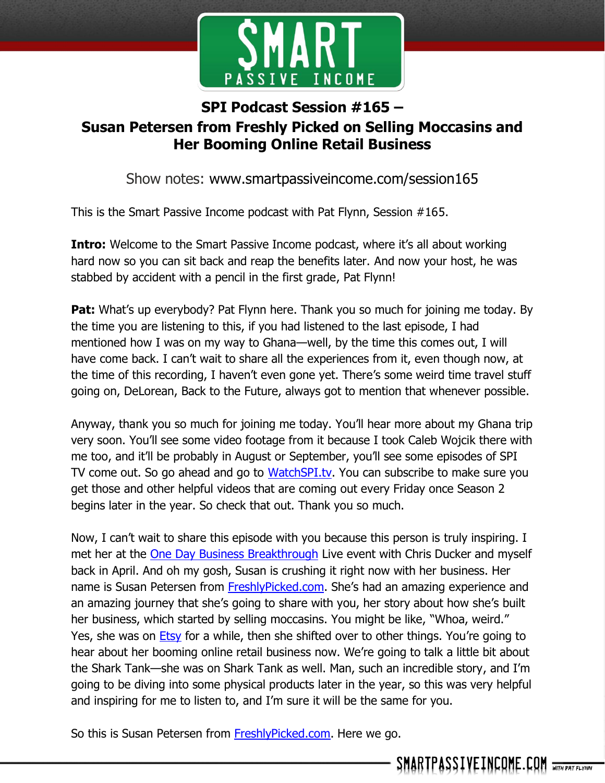

## **SPI Podcast Session #165 – Susan Petersen from Freshly Picked on Selling Moccasins and Her Booming Online Retail Business**

Show notes: www.smartpassiveincome.com/session165

This is the Smart Passive Income podcast with Pat Flynn, Session #165.

**Intro:** Welcome to the Smart Passive Income podcast, where it's all about working hard now so you can sit back and reap the benefits later. And now your host, he was stabbed by accident with a pencil in the first grade, Pat Flynn!

**Pat:** What's up everybody? Pat Flynn here. Thank you so much for joining me today. By the time you are listening to this, if you had listened to the last episode, I had mentioned how I was on my way to Ghana—well, by the time this comes out, I will have come back. I can't wait to share all the experiences from it, even though now, at the time of this recording, I haven't even gone yet. There's some weird time travel stuff going on, DeLorean, Back to the Future, always got to mention that whenever possible.

Anyway, thank you so much for joining me today. You'll hear more about my Ghana trip very soon. You'll see some video footage from it because I took Caleb Wojcik there with me too, and it'll be probably in August or September, you'll see some episodes of SPI TV come out. So go ahead and go to [WatchSPI.tv.](http://watchspi.tv/) You can subscribe to make sure you get those and other helpful videos that are coming out every Friday once Season 2 begins later in the year. So check that out. Thank you so much.

Now, I can't wait to share this episode with you because this person is truly inspiring. I met her at the [One Day Business Breakthrough](https://1daybb.com/) Live event with Chris Ducker and myself back in April. And oh my gosh, Susan is crushing it right now with her business. Her name is Susan Petersen from [FreshlyPicked.com.](http://freshlypicked.com/) She's had an amazing experience and an amazing journey that she's going to share with you, her story about how she's built her business, which started by selling moccasins. You might be like, "Whoa, weird." Yes, she was on **Etsy** for a while, then she shifted over to other things. You're going to hear about her booming online retail business now. We're going to talk a little bit about the Shark Tank—she was on Shark Tank as well. Man, such an incredible story, and I'm going to be diving into some physical products later in the year, so this was very helpful and inspiring for me to listen to, and I'm sure it will be the same for you.

So this is Susan Petersen from **FreshlyPicked.com**. Here we go.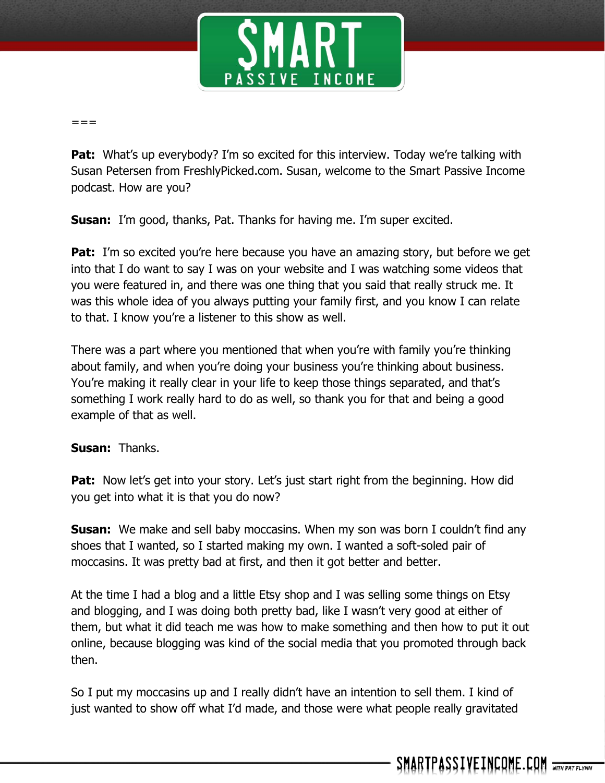

 $=$ 

**Pat:** What's up everybody? I'm so excited for this interview. Today we're talking with Susan Petersen from FreshlyPicked.com. Susan, welcome to the Smart Passive Income podcast. How are you?

**Susan:** I'm good, thanks, Pat. Thanks for having me. I'm super excited.

**Pat:** I'm so excited you're here because you have an amazing story, but before we get into that I do want to say I was on your website and I was watching some videos that you were featured in, and there was one thing that you said that really struck me. It was this whole idea of you always putting your family first, and you know I can relate to that. I know you're a listener to this show as well.

There was a part where you mentioned that when you're with family you're thinking about family, and when you're doing your business you're thinking about business. You're making it really clear in your life to keep those things separated, and that's something I work really hard to do as well, so thank you for that and being a good example of that as well.

**Susan:** Thanks.

**Pat:** Now let's get into your story. Let's just start right from the beginning. How did you get into what it is that you do now?

**Susan:** We make and sell baby moccasins. When my son was born I couldn't find any shoes that I wanted, so I started making my own. I wanted a soft-soled pair of moccasins. It was pretty bad at first, and then it got better and better.

At the time I had a blog and a little Etsy shop and I was selling some things on Etsy and blogging, and I was doing both pretty bad, like I wasn't very good at either of them, but what it did teach me was how to make something and then how to put it out online, because blogging was kind of the social media that you promoted through back then.

So I put my moccasins up and I really didn't have an intention to sell them. I kind of just wanted to show off what I'd made, and those were what people really gravitated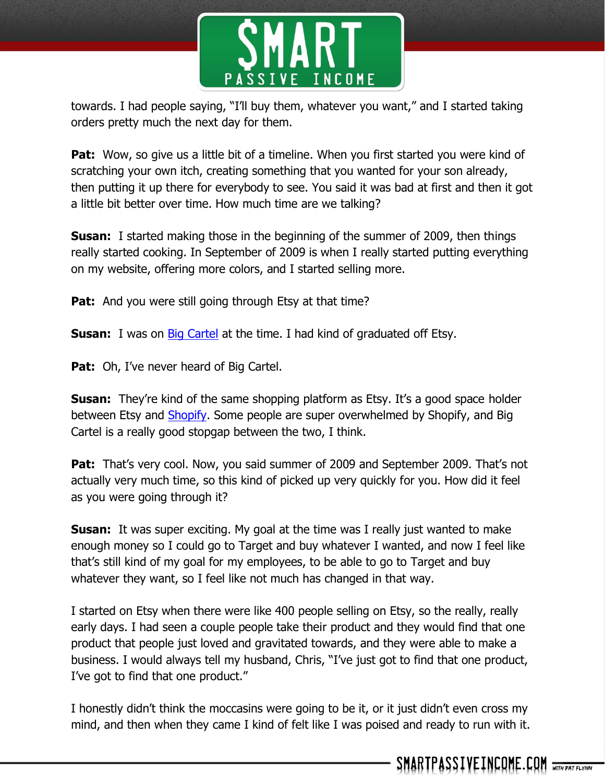

towards. I had people saying, "I'll buy them, whatever you want," and I started taking orders pretty much the next day for them.

**Pat:** Wow, so give us a little bit of a timeline. When you first started you were kind of scratching your own itch, creating something that you wanted for your son already, then putting it up there for everybody to see. You said it was bad at first and then it got a little bit better over time. How much time are we talking?

**Susan:** I started making those in the beginning of the summer of 2009, then things really started cooking. In September of 2009 is when I really started putting everything on my website, offering more colors, and I started selling more.

**Pat:** And you were still going through Etsy at that time?

**Susan:** I was on **Big Cartel** at the time. I had kind of graduated off Etsy.

**Pat:** Oh, I've never heard of Big Cartel.

**Susan:** They're kind of the same shopping platform as Etsy. It's a good space holder between Etsy and **Shopify**. Some people are super overwhelmed by Shopify, and Big Cartel is a really good stopgap between the two, I think.

Pat: That's very cool. Now, you said summer of 2009 and September 2009. That's not actually very much time, so this kind of picked up very quickly for you. How did it feel as you were going through it?

**Susan:** It was super exciting. My goal at the time was I really just wanted to make enough money so I could go to Target and buy whatever I wanted, and now I feel like that's still kind of my goal for my employees, to be able to go to Target and buy whatever they want, so I feel like not much has changed in that way.

I started on Etsy when there were like 400 people selling on Etsy, so the really, really early days. I had seen a couple people take their product and they would find that one product that people just loved and gravitated towards, and they were able to make a business. I would always tell my husband, Chris, "I've just got to find that one product, I've got to find that one product."

I honestly didn't think the moccasins were going to be it, or it just didn't even cross my mind, and then when they came I kind of felt like I was poised and ready to run with it.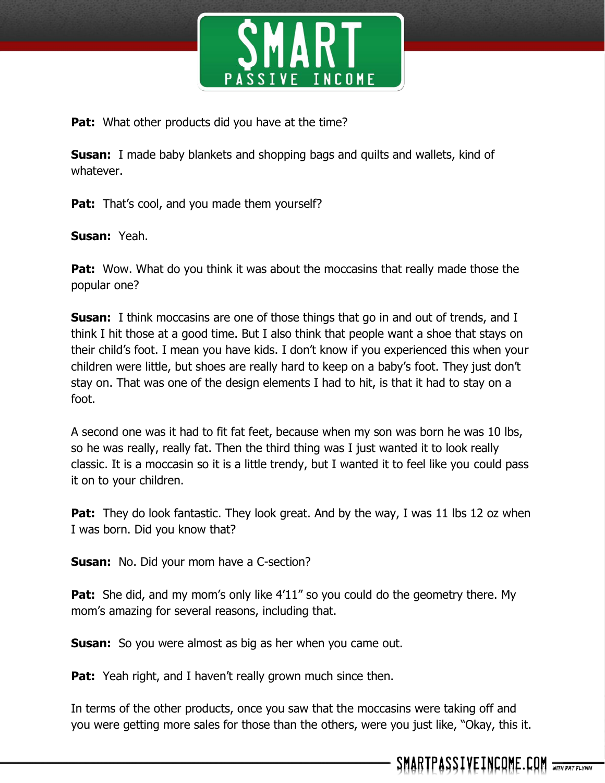

**Pat:** What other products did you have at the time?

**Susan:** I made baby blankets and shopping bags and quilts and wallets, kind of whatever.

Pat: That's cool, and you made them yourself?

**Susan:** Yeah.

**Pat:** Wow. What do you think it was about the moccasins that really made those the popular one?

**Susan:** I think moccasins are one of those things that go in and out of trends, and I think I hit those at a good time. But I also think that people want a shoe that stays on their child's foot. I mean you have kids. I don't know if you experienced this when your children were little, but shoes are really hard to keep on a baby's foot. They just don't stay on. That was one of the design elements I had to hit, is that it had to stay on a foot.

A second one was it had to fit fat feet, because when my son was born he was 10 lbs, so he was really, really fat. Then the third thing was I just wanted it to look really classic. It is a moccasin so it is a little trendy, but I wanted it to feel like you could pass it on to your children.

**Pat:** They do look fantastic. They look great. And by the way, I was 11 lbs 12 oz when I was born. Did you know that?

**Susan:** No. Did your mom have a C-section?

**Pat:** She did, and my mom's only like 4'11" so you could do the geometry there. My mom's amazing for several reasons, including that.

**Susan:** So you were almost as big as her when you came out.

**Pat:** Yeah right, and I haven't really grown much since then.

In terms of the other products, once you saw that the moccasins were taking off and you were getting more sales for those than the others, were you just like, "Okay, this it.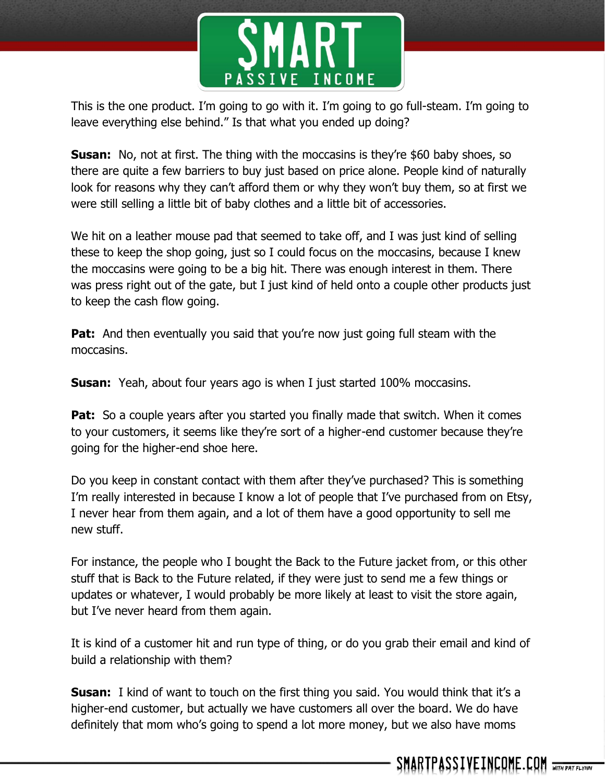

This is the one product. I'm going to go with it. I'm going to go full-steam. I'm going to leave everything else behind." Is that what you ended up doing?

**Susan:** No, not at first. The thing with the moccasins is they're \$60 baby shoes, so there are quite a few barriers to buy just based on price alone. People kind of naturally look for reasons why they can't afford them or why they won't buy them, so at first we were still selling a little bit of baby clothes and a little bit of accessories.

We hit on a leather mouse pad that seemed to take off, and I was just kind of selling these to keep the shop going, just so I could focus on the moccasins, because I knew the moccasins were going to be a big hit. There was enough interest in them. There was press right out of the gate, but I just kind of held onto a couple other products just to keep the cash flow going.

**Pat:** And then eventually you said that you're now just going full steam with the moccasins.

**Susan:** Yeah, about four years ago is when I just started 100% moccasins.

Pat: So a couple years after you started you finally made that switch. When it comes to your customers, it seems like they're sort of a higher-end customer because they're going for the higher-end shoe here.

Do you keep in constant contact with them after they've purchased? This is something I'm really interested in because I know a lot of people that I've purchased from on Etsy, I never hear from them again, and a lot of them have a good opportunity to sell me new stuff.

For instance, the people who I bought the Back to the Future jacket from, or this other stuff that is Back to the Future related, if they were just to send me a few things or updates or whatever, I would probably be more likely at least to visit the store again, but I've never heard from them again.

It is kind of a customer hit and run type of thing, or do you grab their email and kind of build a relationship with them?

**Susan:** I kind of want to touch on the first thing you said. You would think that it's a higher-end customer, but actually we have customers all over the board. We do have definitely that mom who's going to spend a lot more money, but we also have moms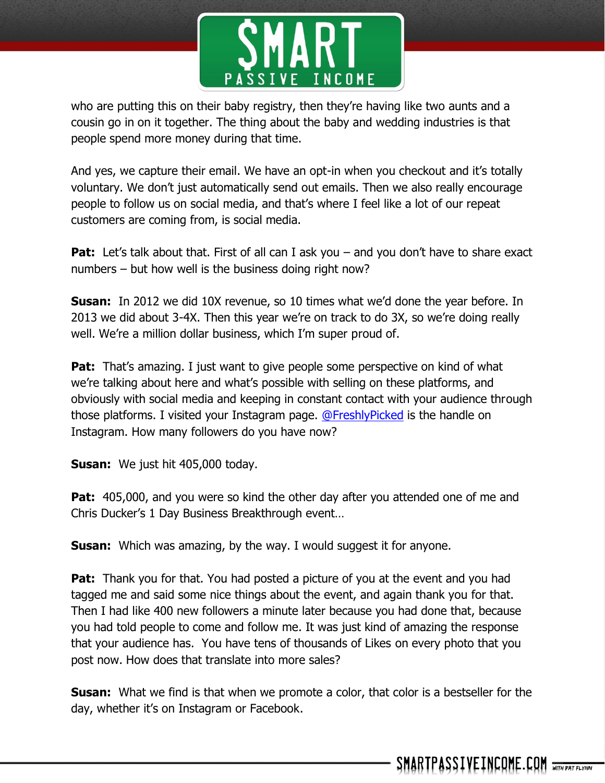

who are putting this on their baby registry, then they're having like two aunts and a cousin go in on it together. The thing about the baby and wedding industries is that people spend more money during that time.

And yes, we capture their email. We have an opt-in when you checkout and it's totally voluntary. We don't just automatically send out emails. Then we also really encourage people to follow us on social media, and that's where I feel like a lot of our repeat customers are coming from, is social media.

**Pat:** Let's talk about that. First of all can I ask you – and you don't have to share exact numbers – but how well is the business doing right now?

**Susan:** In 2012 we did 10X revenue, so 10 times what we'd done the year before. In 2013 we did about 3-4X. Then this year we're on track to do 3X, so we're doing really well. We're a million dollar business, which I'm super proud of.

**Pat:** That's amazing. I just want to give people some perspective on kind of what we're talking about here and what's possible with selling on these platforms, and obviously with social media and keeping in constant contact with your audience through those platforms. I visited your Instagram page. [@FreshlyPicked](http://instagram.com/freshlypicked) is the handle on Instagram. How many followers do you have now?

**Susan:** We just hit 405,000 today.

**Pat:** 405,000, and you were so kind the other day after you attended one of me and Chris Ducker's 1 Day Business Breakthrough event…

**Susan:** Which was amazing, by the way. I would suggest it for anyone.

**Pat:** Thank you for that. You had posted a picture of you at the event and you had tagged me and said some nice things about the event, and again thank you for that. Then I had like 400 new followers a minute later because you had done that, because you had told people to come and follow me. It was just kind of amazing the response that your audience has. You have tens of thousands of Likes on every photo that you post now. How does that translate into more sales?

**Susan:** What we find is that when we promote a color, that color is a bestseller for the day, whether it's on Instagram or Facebook.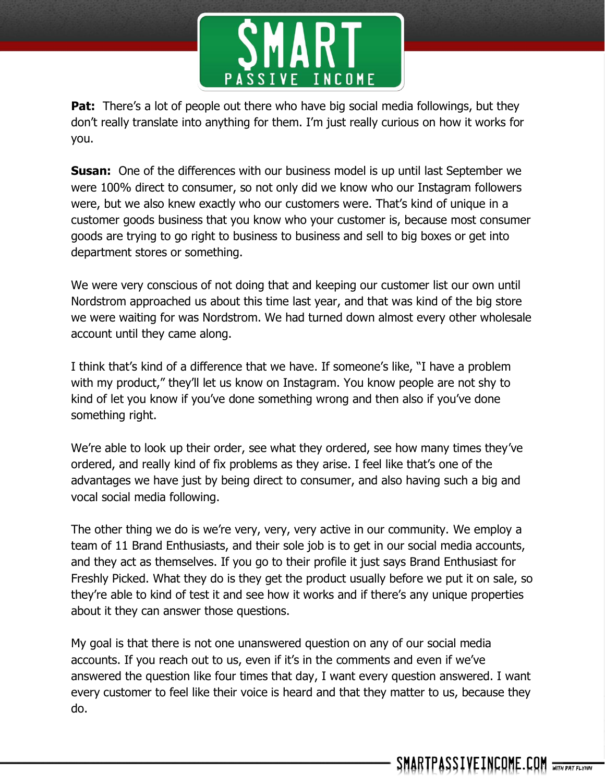

**Pat:** There's a lot of people out there who have big social media followings, but they don't really translate into anything for them. I'm just really curious on how it works for you.

**Susan:** One of the differences with our business model is up until last September we were 100% direct to consumer, so not only did we know who our Instagram followers were, but we also knew exactly who our customers were. That's kind of unique in a customer goods business that you know who your customer is, because most consumer goods are trying to go right to business to business and sell to big boxes or get into department stores or something.

We were very conscious of not doing that and keeping our customer list our own until Nordstrom approached us about this time last year, and that was kind of the big store we were waiting for was Nordstrom. We had turned down almost every other wholesale account until they came along.

I think that's kind of a difference that we have. If someone's like, "I have a problem with my product," they'll let us know on Instagram. You know people are not shy to kind of let you know if you've done something wrong and then also if you've done something right.

We're able to look up their order, see what they ordered, see how many times they've ordered, and really kind of fix problems as they arise. I feel like that's one of the advantages we have just by being direct to consumer, and also having such a big and vocal social media following.

The other thing we do is we're very, very, very active in our community. We employ a team of 11 Brand Enthusiasts, and their sole job is to get in our social media accounts, and they act as themselves. If you go to their profile it just says Brand Enthusiast for Freshly Picked. What they do is they get the product usually before we put it on sale, so they're able to kind of test it and see how it works and if there's any unique properties about it they can answer those questions.

My goal is that there is not one unanswered question on any of our social media accounts. If you reach out to us, even if it's in the comments and even if we've answered the question like four times that day, I want every question answered. I want every customer to feel like their voice is heard and that they matter to us, because they do.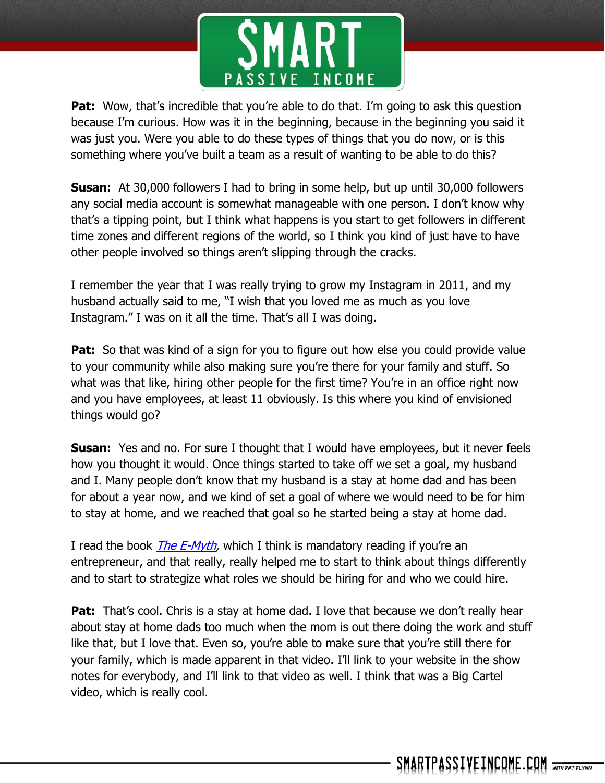

**Pat:** Wow, that's incredible that you're able to do that. I'm going to ask this question because I'm curious. How was it in the beginning, because in the beginning you said it was just you. Were you able to do these types of things that you do now, or is this something where you've built a team as a result of wanting to be able to do this?

**Susan:** At 30,000 followers I had to bring in some help, but up until 30,000 followers any social media account is somewhat manageable with one person. I don't know why that's a tipping point, but I think what happens is you start to get followers in different time zones and different regions of the world, so I think you kind of just have to have other people involved so things aren't slipping through the cracks.

I remember the year that I was really trying to grow my Instagram in 2011, and my husband actually said to me, "I wish that you loved me as much as you love Instagram." I was on it all the time. That's all I was doing.

**Pat:** So that was kind of a sign for you to figure out how else you could provide value to your community while also making sure you're there for your family and stuff. So what was that like, hiring other people for the first time? You're in an office right now and you have employees, at least 11 obviously. Is this where you kind of envisioned things would go?

**Susan:** Yes and no. For sure I thought that I would have employees, but it never feels how you thought it would. Once things started to take off we set a goal, my husband and I. Many people don't know that my husband is a stay at home dad and has been for about a year now, and we kind of set a goal of where we would need to be for him to stay at home, and we reached that goal so he started being a stay at home dad.

I read the book *The E-Myth*, which I think is mandatory reading if you're an entrepreneur, and that really, really helped me to start to think about things differently and to start to strategize what roles we should be hiring for and who we could hire.

**Pat:** That's cool. Chris is a stay at home dad. I love that because we don't really hear about stay at home dads too much when the mom is out there doing the work and stuff like that, but I love that. Even so, you're able to make sure that you're still there for your family, which is made apparent in that video. I'll link to your website in the show notes for everybody, and I'll link to that video as well. I think that was a Big Cartel video, which is really cool.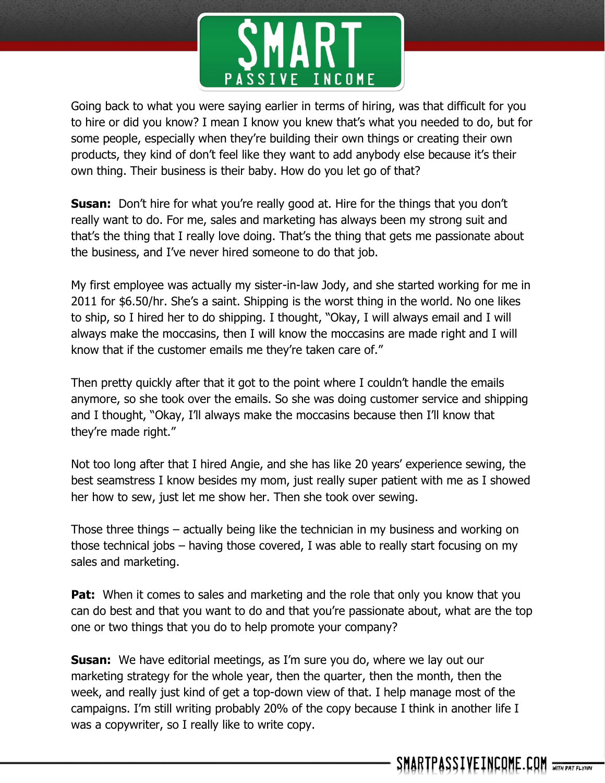

Going back to what you were saying earlier in terms of hiring, was that difficult for you to hire or did you know? I mean I know you knew that's what you needed to do, but for some people, especially when they're building their own things or creating their own products, they kind of don't feel like they want to add anybody else because it's their own thing. Their business is their baby. How do you let go of that?

**Susan:** Don't hire for what you're really good at. Hire for the things that you don't really want to do. For me, sales and marketing has always been my strong suit and that's the thing that I really love doing. That's the thing that gets me passionate about the business, and I've never hired someone to do that job.

My first employee was actually my sister-in-law Jody, and she started working for me in 2011 for \$6.50/hr. She's a saint. Shipping is the worst thing in the world. No one likes to ship, so I hired her to do shipping. I thought, "Okay, I will always email and I will always make the moccasins, then I will know the moccasins are made right and I will know that if the customer emails me they're taken care of."

Then pretty quickly after that it got to the point where I couldn't handle the emails anymore, so she took over the emails. So she was doing customer service and shipping and I thought, "Okay, I'll always make the moccasins because then I'll know that they're made right."

Not too long after that I hired Angie, and she has like 20 years' experience sewing, the best seamstress I know besides my mom, just really super patient with me as I showed her how to sew, just let me show her. Then she took over sewing.

Those three things – actually being like the technician in my business and working on those technical jobs – having those covered, I was able to really start focusing on my sales and marketing.

**Pat:** When it comes to sales and marketing and the role that only you know that you can do best and that you want to do and that you're passionate about, what are the top one or two things that you do to help promote your company?

**Susan:** We have editorial meetings, as I'm sure you do, where we lay out our marketing strategy for the whole year, then the quarter, then the month, then the week, and really just kind of get a top-down view of that. I help manage most of the campaigns. I'm still writing probably 20% of the copy because I think in another life I was a copywriter, so I really like to write copy.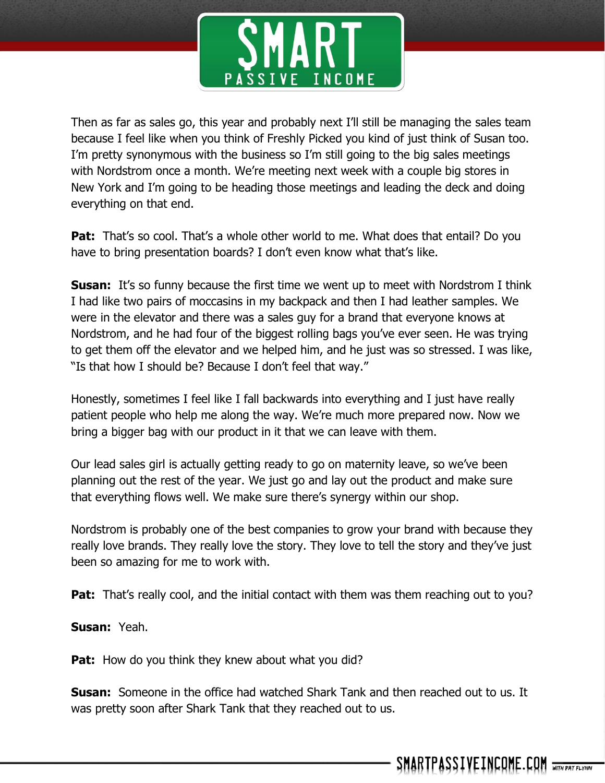

Then as far as sales go, this year and probably next I'll still be managing the sales team because I feel like when you think of Freshly Picked you kind of just think of Susan too. I'm pretty synonymous with the business so I'm still going to the big sales meetings with Nordstrom once a month. We're meeting next week with a couple big stores in New York and I'm going to be heading those meetings and leading the deck and doing everything on that end.

**Pat:** That's so cool. That's a whole other world to me. What does that entail? Do you have to bring presentation boards? I don't even know what that's like.

**Susan:** It's so funny because the first time we went up to meet with Nordstrom I think I had like two pairs of moccasins in my backpack and then I had leather samples. We were in the elevator and there was a sales guy for a brand that everyone knows at Nordstrom, and he had four of the biggest rolling bags you've ever seen. He was trying to get them off the elevator and we helped him, and he just was so stressed. I was like, "Is that how I should be? Because I don't feel that way."

Honestly, sometimes I feel like I fall backwards into everything and I just have really patient people who help me along the way. We're much more prepared now. Now we bring a bigger bag with our product in it that we can leave with them.

Our lead sales girl is actually getting ready to go on maternity leave, so we've been planning out the rest of the year. We just go and lay out the product and make sure that everything flows well. We make sure there's synergy within our shop.

Nordstrom is probably one of the best companies to grow your brand with because they really love brands. They really love the story. They love to tell the story and they've just been so amazing for me to work with.

**Pat:** That's really cool, and the initial contact with them was them reaching out to you?

**Susan:** Yeah.

**Pat:** How do you think they knew about what you did?

**Susan:** Someone in the office had watched Shark Tank and then reached out to us. It was pretty soon after Shark Tank that they reached out to us.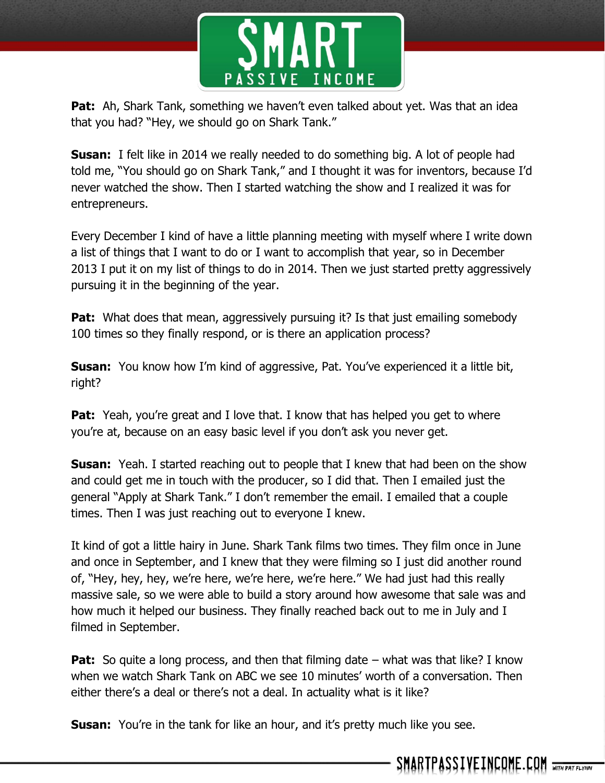

**Pat:** Ah, Shark Tank, something we haven't even talked about yet. Was that an idea that you had? "Hey, we should go on Shark Tank."

**Susan:** I felt like in 2014 we really needed to do something big. A lot of people had told me, "You should go on Shark Tank," and I thought it was for inventors, because I'd never watched the show. Then I started watching the show and I realized it was for entrepreneurs.

Every December I kind of have a little planning meeting with myself where I write down a list of things that I want to do or I want to accomplish that year, so in December 2013 I put it on my list of things to do in 2014. Then we just started pretty aggressively pursuing it in the beginning of the year.

**Pat:** What does that mean, aggressively pursuing it? Is that just emailing somebody 100 times so they finally respond, or is there an application process?

**Susan:** You know how I'm kind of aggressive, Pat. You've experienced it a little bit, right?

**Pat:** Yeah, you're great and I love that. I know that has helped you get to where you're at, because on an easy basic level if you don't ask you never get.

**Susan:** Yeah. I started reaching out to people that I knew that had been on the show and could get me in touch with the producer, so I did that. Then I emailed just the general "Apply at Shark Tank." I don't remember the email. I emailed that a couple times. Then I was just reaching out to everyone I knew.

It kind of got a little hairy in June. Shark Tank films two times. They film once in June and once in September, and I knew that they were filming so I just did another round of, "Hey, hey, hey, we're here, we're here, we're here." We had just had this really massive sale, so we were able to build a story around how awesome that sale was and how much it helped our business. They finally reached back out to me in July and I filmed in September.

**Pat:** So quite a long process, and then that filming date – what was that like? I know when we watch Shark Tank on ABC we see 10 minutes' worth of a conversation. Then either there's a deal or there's not a deal. In actuality what is it like?

**Susan:** You're in the tank for like an hour, and it's pretty much like you see.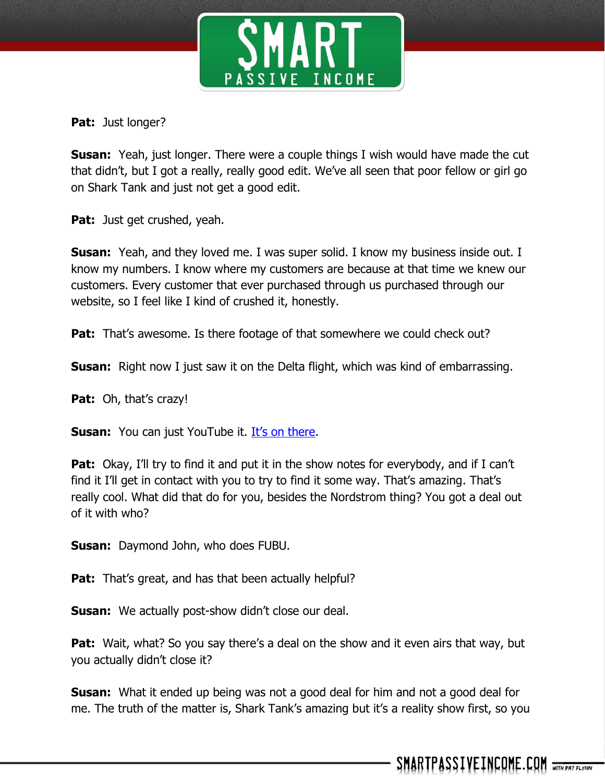

**Pat:** Just longer?

**Susan:** Yeah, just longer. There were a couple things I wish would have made the cut that didn't, but I got a really, really good edit. We've all seen that poor fellow or girl go on Shark Tank and just not get a good edit.

**Pat:** Just get crushed, yeah.

**Susan:** Yeah, and they loved me. I was super solid. I know my business inside out. I know my numbers. I know where my customers are because at that time we knew our customers. Every customer that ever purchased through us purchased through our website, so I feel like I kind of crushed it, honestly.

**Pat:** That's awesome. Is there footage of that somewhere we could check out?

**Susan:** Right now I just saw it on the Delta flight, which was kind of embarrassing.

**Pat:** Oh, that's crazy!

**Susan:** You can just YouTube it. [It's on there](https://youtu.be/zsL77ojk0Sg).

**Pat:** Okay, I'll try to find it and put it in the show notes for everybody, and if I can't find it I'll get in contact with you to try to find it some way. That's amazing. That's really cool. What did that do for you, besides the Nordstrom thing? You got a deal out of it with who?

**Susan:** Daymond John, who does FUBU.

**Pat:** That's great, and has that been actually helpful?

**Susan:** We actually post-show didn't close our deal.

**Pat:** Wait, what? So you say there's a deal on the show and it even airs that way, but you actually didn't close it?

**Susan:** What it ended up being was not a good deal for him and not a good deal for me. The truth of the matter is, Shark Tank's amazing but it's a reality show first, so you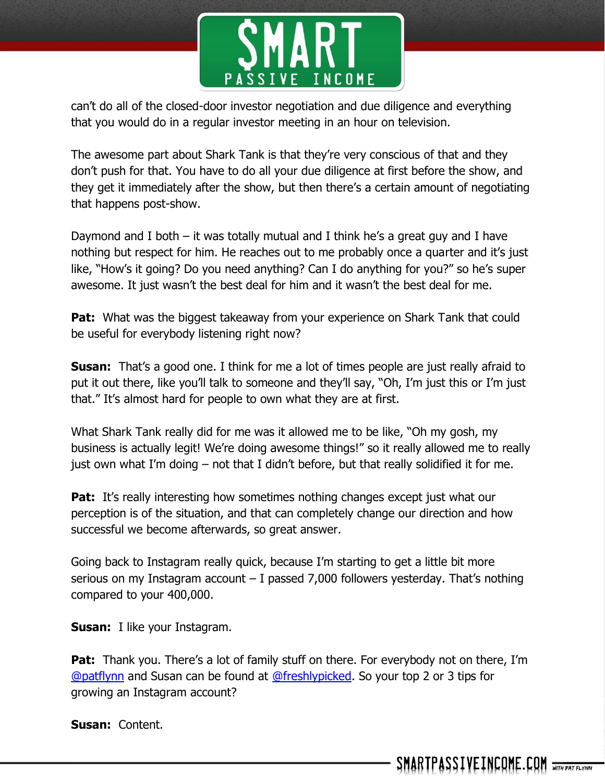

can't do all of the closed-door investor negotiation and due diligence and everything that you would do in a regular investor meeting in an hour on television.

The awesome part about Shark Tank is that they're very conscious of that and they don't push for that. You have to do all your due diligence at first before the show, and they get it immediately after the show, but then there's a certain amount of negotiating that happens post-show.

Daymond and I both – it was totally mutual and I think he's a great guy and I have nothing but respect for him. He reaches out to me probably once a quarter and it's just like, "How's it going? Do you need anything? Can I do anything for you?" so he's super awesome. It just wasn't the best deal for him and it wasn't the best deal for me.

**Pat:** What was the biggest takeaway from your experience on Shark Tank that could be useful for everybody listening right now?

**Susan:** That's a good one. I think for me a lot of times people are just really afraid to put it out there, like you'll talk to someone and they'll say, "Oh, I'm just this or I'm just that." It's almost hard for people to own what they are at first.

What Shark Tank really did for me was it allowed me to be like, "Oh my gosh, my business is actually legit! We're doing awesome things!" so it really allowed me to really just own what I'm doing – not that I didn't before, but that really solidified it for me.

**Pat:** It's really interesting how sometimes nothing changes except just what our perception is of the situation, and that can completely change our direction and how successful we become afterwards, so great answer.

Going back to Instagram really quick, because I'm starting to get a little bit more serious on my Instagram account – I passed 7,000 followers yesterday. That's nothing compared to your 400,000.

**Susan:** I like your Instagram.

**Pat:** Thank you. There's a lot of family stuff on there. For everybody not on there, I'm [@patflynn](http://instagram.com/patflynn) and Susan can be found at [@freshlypicked.](http://instagram.com/freshlypicked) So your top 2 or 3 tips for growing an Instagram account?

**Susan:** Content.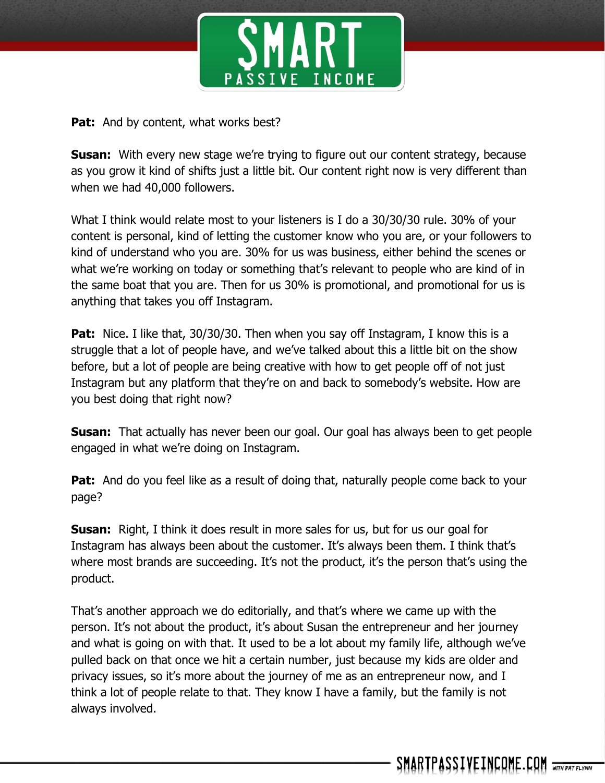

Pat: And by content, what works best?

**Susan:** With every new stage we're trying to figure out our content strategy, because as you grow it kind of shifts just a little bit. Our content right now is very different than when we had 40,000 followers.

What I think would relate most to your listeners is I do a 30/30/30 rule. 30% of your content is personal, kind of letting the customer know who you are, or your followers to kind of understand who you are. 30% for us was business, either behind the scenes or what we're working on today or something that's relevant to people who are kind of in the same boat that you are. Then for us 30% is promotional, and promotional for us is anything that takes you off Instagram.

**Pat:** Nice. I like that, 30/30/30. Then when you say off Instagram, I know this is a struggle that a lot of people have, and we've talked about this a little bit on the show before, but a lot of people are being creative with how to get people off of not just Instagram but any platform that they're on and back to somebody's website. How are you best doing that right now?

**Susan:** That actually has never been our goal. Our goal has always been to get people engaged in what we're doing on Instagram.

**Pat:** And do you feel like as a result of doing that, naturally people come back to your page?

**Susan:** Right, I think it does result in more sales for us, but for us our goal for Instagram has always been about the customer. It's always been them. I think that's where most brands are succeeding. It's not the product, it's the person that's using the product.

That's another approach we do editorially, and that's where we came up with the person. It's not about the product, it's about Susan the entrepreneur and her journey and what is going on with that. It used to be a lot about my family life, although we've pulled back on that once we hit a certain number, just because my kids are older and privacy issues, so it's more about the journey of me as an entrepreneur now, and I think a lot of people relate to that. They know I have a family, but the family is not always involved.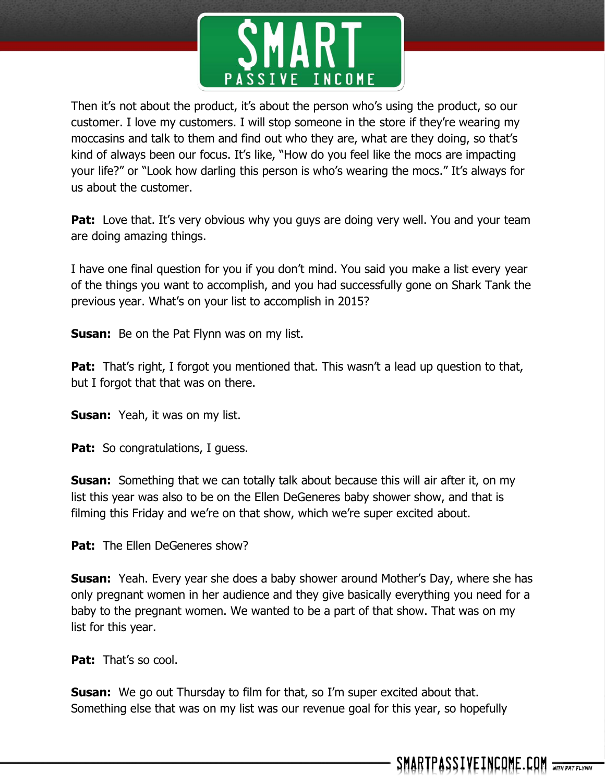

Then it's not about the product, it's about the person who's using the product, so our customer. I love my customers. I will stop someone in the store if they're wearing my moccasins and talk to them and find out who they are, what are they doing, so that's kind of always been our focus. It's like, "How do you feel like the mocs are impacting your life?" or "Look how darling this person is who's wearing the mocs." It's always for us about the customer.

**Pat:** Love that. It's very obvious why you guys are doing very well. You and your team are doing amazing things.

I have one final question for you if you don't mind. You said you make a list every year of the things you want to accomplish, and you had successfully gone on Shark Tank the previous year. What's on your list to accomplish in 2015?

**Susan:** Be on the Pat Flynn was on my list.

**Pat:** That's right, I forgot you mentioned that. This wasn't a lead up question to that, but I forgot that that was on there.

**Susan:** Yeah, it was on my list.

Pat: So congratulations, I guess.

**Susan:** Something that we can totally talk about because this will air after it, on my list this year was also to be on the Ellen DeGeneres baby shower show, and that is filming this Friday and we're on that show, which we're super excited about.

Pat: The Ellen DeGeneres show?

**Susan:** Yeah. Every year she does a baby shower around Mother's Day, where she has only pregnant women in her audience and they give basically everything you need for a baby to the pregnant women. We wanted to be a part of that show. That was on my list for this year.

**Pat:** That's so cool.

**Susan:** We go out Thursday to film for that, so I'm super excited about that. Something else that was on my list was our revenue goal for this year, so hopefully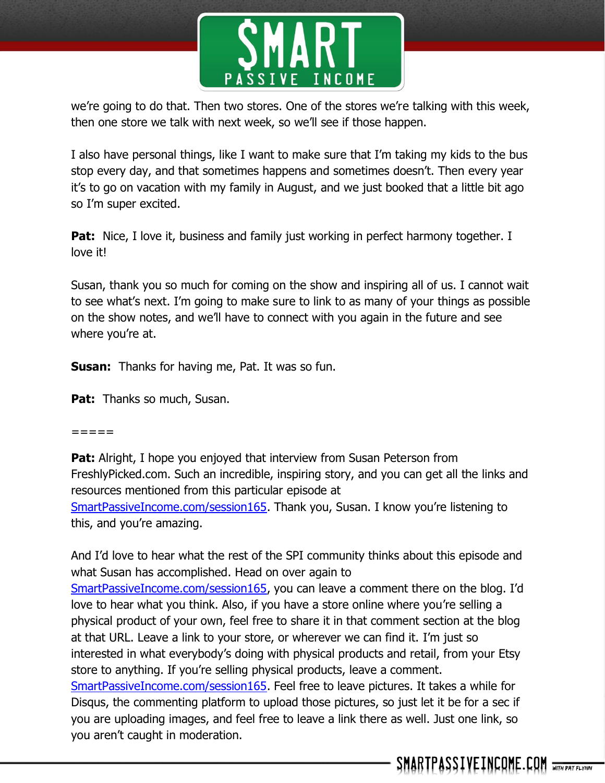

we're going to do that. Then two stores. One of the stores we're talking with this week, then one store we talk with next week, so we'll see if those happen.

I also have personal things, like I want to make sure that I'm taking my kids to the bus stop every day, and that sometimes happens and sometimes doesn't. Then every year it's to go on vacation with my family in August, and we just booked that a little bit ago so I'm super excited.

**Pat:** Nice, I love it, business and family just working in perfect harmony together. I love it!

Susan, thank you so much for coming on the show and inspiring all of us. I cannot wait to see what's next. I'm going to make sure to link to as many of your things as possible on the show notes, and we'll have to connect with you again in the future and see where you're at.

**Susan:** Thanks for having me, Pat. It was so fun.

**Pat:** Thanks so much, Susan.

 $=$   $=$   $=$   $=$ 

**Pat:** Alright, I hope you enjoyed that interview from Susan Peterson from FreshlyPicked.com. Such an incredible, inspiring story, and you can get all the links and resources mentioned from this particular episode at [SmartPassiveIncome.com/session165.](http://smartpassiveincome.com/session165) Thank you, Susan. I know you're listening to this, and you're amazing.

And I'd love to hear what the rest of the SPI community thinks about this episode and what Susan has accomplished. Head on over again to [SmartPassiveIncome.com/session165,](http://smartpassiveincome.com/session165) you can leave a comment there on the blog. I'd love to hear what you think. Also, if you have a store online where you're selling a physical product of your own, feel free to share it in that comment section at the blog at that URL. Leave a link to your store, or wherever we can find it. I'm just so interested in what everybody's doing with physical products and retail, from your Etsy store to anything. If you're selling physical products, leave a comment. [SmartPassiveIncome.com/session165.](http://smartpassiveincome.com/session165) Feel free to leave pictures. It takes a while for Disqus, the commenting platform to upload those pictures, so just let it be for a sec if you are uploading images, and feel free to leave a link there as well. Just one link, so you aren't caught in moderation.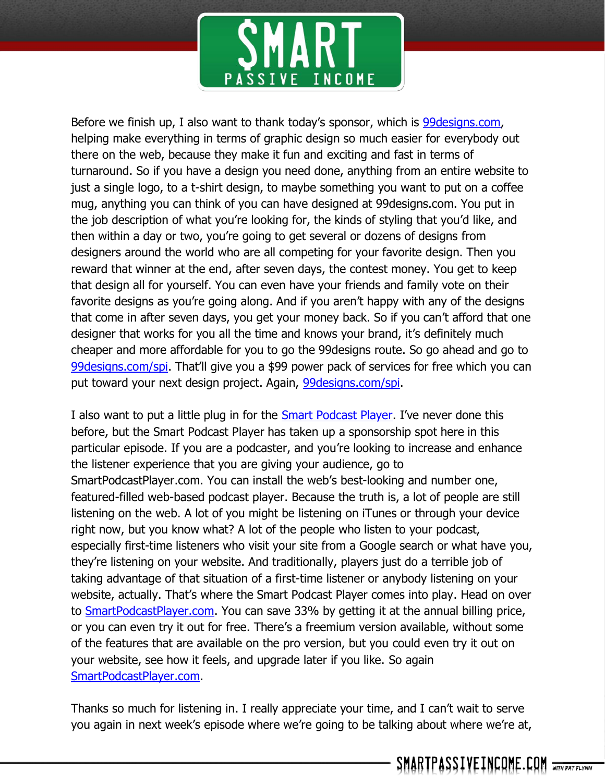

Before we finish up, I also want to thank today's sponsor, which is 99 designs.com, helping make everything in terms of graphic design so much easier for everybody out there on the web, because they make it fun and exciting and fast in terms of turnaround. So if you have a design you need done, anything from an entire website to just a single logo, to a t-shirt design, to maybe something you want to put on a coffee mug, anything you can think of you can have designed at 99designs.com. You put in the job description of what you're looking for, the kinds of styling that you'd like, and then within a day or two, you're going to get several or dozens of designs from designers around the world who are all competing for your favorite design. Then you reward that winner at the end, after seven days, the contest money. You get to keep that design all for yourself. You can even have your friends and family vote on their favorite designs as you're going along. And if you aren't happy with any of the designs that come in after seven days, you get your money back. So if you can't afford that one designer that works for you all the time and knows your brand, it's definitely much cheaper and more affordable for you to go the 99designs route. So go ahead and go to [99designs.com/spi.](http://99designs.com/spi) That'll give you a \$99 power pack of services for free which you can put toward your next design project. Again, [99designs.com/spi.](http://99designs.com/spi)

I also want to put a little plug in for the [Smart Podcast Player.](http://smartpodcastplayer.com/) I've never done this before, but the Smart Podcast Player has taken up a sponsorship spot here in this particular episode. If you are a podcaster, and you're looking to increase and enhance the listener experience that you are giving your audience, go to SmartPodcastPlayer.com. You can install the web's best-looking and number one, featured-filled web-based podcast player. Because the truth is, a lot of people are still listening on the web. A lot of you might be listening on iTunes or through your device right now, but you know what? A lot of the people who listen to your podcast, especially first-time listeners who visit your site from a Google search or what have you, they're listening on your website. And traditionally, players just do a terrible job of taking advantage of that situation of a first-time listener or anybody listening on your website, actually. That's where the Smart Podcast Player comes into play. Head on over to [SmartPodcastPlayer.com.](http://smartpodcastplayer.com/) You can save 33% by getting it at the annual billing price, or you can even try it out for free. There's a freemium version available, without some of the features that are available on the pro version, but you could even try it out on your website, see how it feels, and upgrade later if you like. So again [SmartPodcastPlayer.com.](http://smartpodcastplayer.com/)

Thanks so much for listening in. I really appreciate your time, and I can't wait to serve you again in next week's episode where we're going to be talking about where we're at,